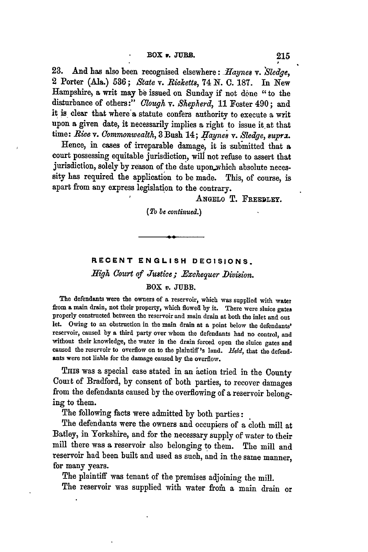**23.** And has also been recognised elsewhere: *-Haynes v. Sledge,* 2 Porter (Ala.) **536;** *State v. Ricketts,* 74 **N. C. 187.** In New Hampshire) a writ may **be** issued on Sunday if not done "to the disturbance of others:" *Clough v. Shepherd*, 11 Foster 490; and it is clear that where'a statute confers authority to execute a writ upon a given date, it necessarily implies a right to issue it at that time: Rice v. Commonwealth, 3 Bush 14; Haynes v. Sledge, supra.

Hence, in cases of irreparable damage, it is submitted that a court possessing equitable jurisdiction, will not refuse to assert that jurisdiction, solely by reason of the date upon.which absolute necessity has required the application to be made. This, of course, is apart from any express legislation to the contrary.

ANGELO T. FREEDLEY.

*(To be continued.)*

## RECENT **ENGLISH DECISIONS.**

## *High Court of Justice; .Exchequer 'Division.* BOX *v.* JUBB.

The defendants were the owners of a reservoir, which was supplied with water from **a** main drain, not their property, which flowea **by** it. There were sluice gatea properly constructed between the reservoir and main drain at both the inlet and out let. Owing to an obstruction in the main drain at a point below the defendants' reservoir, caused **by** a third party over whom the defendants had no control, and without their knowledge, the water in the drain forced open the sluice gates and caused the reservoir to overflow on to the plaintiff's land. *Hedd,* that the defendants were not liable for the damage caused **by** the overflow.

Tnis was a special case stated in an action tried in the County Cout of Bradford, **by** consent of both parties, to recover damages from the defendants caused **by** the overflowing of a reservoir belonging to them.

The following facts were admitted **by** both parties:

The defendants were the owners and occupiers of a cloth mill at Batley, in Yorkshire, and for the necessary supply of water to their mill there was a reservoir also belonging to them. The mill and reservoir had been built and used as such, and in the same manner, for many years.

The plaintiff was tenant of the premises adjoining the mill.

The reservoir was supplied with water from a main drain or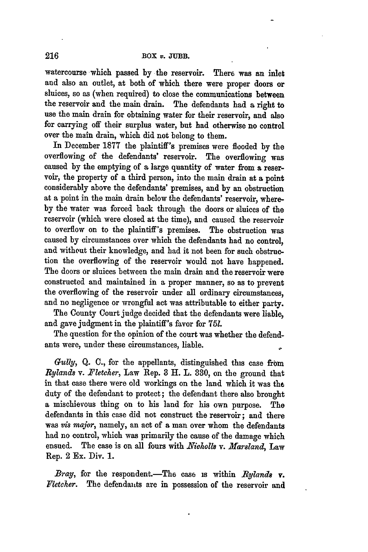watercourse which passed **by** the reservoir. There was an inlet and also an outlet, at both of which there were proper doors or sluices, so as (when required) to close the communications between the reservoir and the main drain. The defendants had a right to use the main drain for obtaining water for their reservoir, and also for carrying off their surplus water, but had otherwise no control over the main drain, which did not belong to them.

In December **1877** the plaintiff's premises were flooded **by** the overflowing of the defendants' reservoir. The overflowing was caused **by** the emptying of **a** large quantity of water from **a** reservoir, the property of a third person, into the main drain at a point considerably above the defendants' premises, and **by** an obstruction at a point in the main drain below the defendants' reservoir, where**by** the water was forced back through the doors or sluices of the reservoir (which were closed at the time), and caused the reservoir to overflow on to the plaintiff's premises. The obstruction was caused **by** circumstances over which the defendants had no control, and without their knowledge, and had it not been for such obstruction the overflowing of the reservoir would not have happened. The doors or sluices between the main drain and the reservoir were constructed and maintained in a proper manner, so as to prevent the overflowing of the reservoir under all ordinary circumstances, and no negligence or wrongful act was attributable to either party.

The County Court judge decided that the defendants were liable, and gave judgment in the plaintiff's favor for **751.**

The question for the opinion of the court was whether the defendants were, under these circumstances, liable.

*Gully,* **Q. C.,** for the appellants, distinguished this case **from** *Rylands v. Fletcher,* Law Rep. 8 H. L. **330,** on the ground that in that case there were old workings on the land which it was the duty of the defendant to protect; the defendant there also brought a mischievous thing on to his land for his own purpose. The defendants in this case did not construct the reservoir; and there was *vis major,* namely, an act of a man over whom the defendants had no control, which was primarily the cause of the damage which ensued. The case is on all fours with *Nicholls v. Marsland*, Law Rep. 2 Ex. Div. 1.

*Bray,* for the respondent.—The case is within *Rylands* v. *Fletcher.* The defendants are in possession of the reservoir and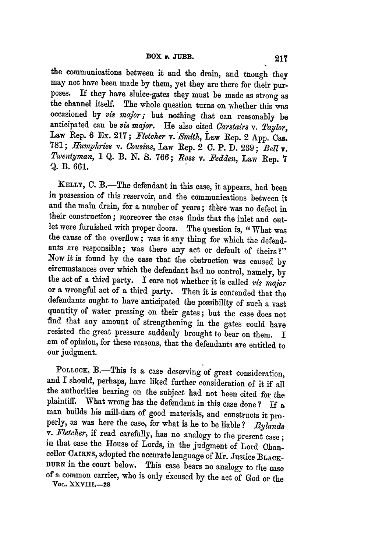the communications between it and the drain, and tuough they may not have been made **by** them, yet they are there for their purposes. If they have sluice-gates they must be made as strong as the channel itself. The whole question turns on whether this was occasioned by *vis major;* but nothing that can reasonably be anticipated can be *vis* major. He also cited *Oarstairs v. Taylor,* Law Rep. 6 Ex. 217; *Fletcher v. Smith, Law* Rep. 2 App. Cas. 781; *Humphrie8 v. 0ou8ins,* Law Rep. 2 **0.** P. D. **239;** *Bell* **v.** *Twentyman,* 1 Q. B. N. S. 766; *1o88* v. *Sedden,* Law Rep. **<sup>7</sup>** Q. B. 661.

KELLY, 0. B.-The defendant in this case, it appears, had been in possession of this reservoir, and the communications between **it** and the main drain, for a number of years; there was no defect in their construction; moreover the case finds that the inlet and outlet were furnished with proper doors. The question is, "What was the cause of the overflow; was it any thing for which the defendants are responsible; was there any act or default of theirs?"<br>Now it is found by the case that the obstruction was caused by circumstances over which the defendant had no control, namely, by the act of a third party. I care not whether it is called *vis major* or a wrongful act of a third party. Then it is contended that the defendants ought to have anticipated the possibility of such a vast quantity of water pressing on their gates; but the case does not find that any amount of strengthening in the gates could have resisted the great pressure suddenly brought to bear on them. I am of opinion, for these reasons, that the defendants are entitled to our judgment.

POLLOCK, B.-This is a case deserving of great consideration, and I should, perhaps, have liked further consideration of it if all the authorities bearing on the subject had not been cited for the plaintiff. What wrong has the defendant in this case done? If a man builds his mill-dam of good materials, and constructs it pro. perly, as was here the case, for what is he to be liable? *Bylando v. Fletcher,* if read carefully, has no analogy to the present case **;** in that case the House of Lords, in the judgment of Lord Chancellor **CAIRNS,** adopted the accurate language of Mr. Justice **BLACK-BURN** in the court below. This case bears no analogy to the case of a common carrier, who is only excused **by** the act of God or the **VOL. 1XVIII.-28**